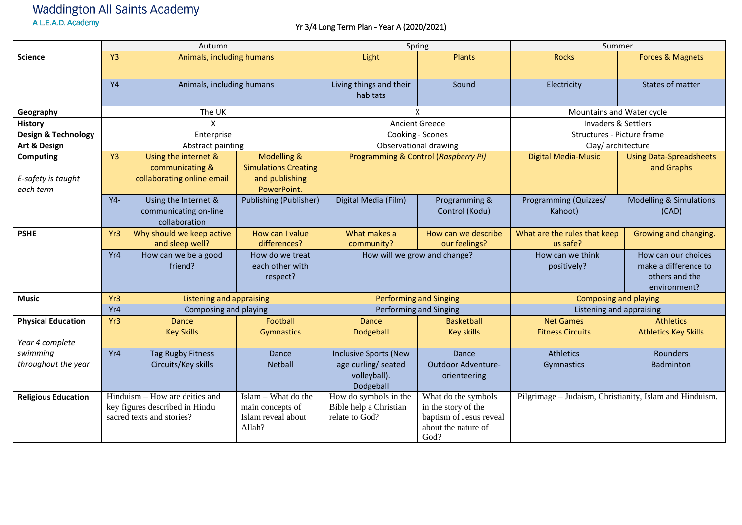## Waddington All Saints Academy<br>A L.E.A.D. Academy

## Yr 3/4 Long Term Plan - Year A (2020/2021)

|                                                     | Autumn                                                                                        |                                                                       |                                                                             |                                                                                  | Spring                                                                                               | Summer                                                  |                                                                               |
|-----------------------------------------------------|-----------------------------------------------------------------------------------------------|-----------------------------------------------------------------------|-----------------------------------------------------------------------------|----------------------------------------------------------------------------------|------------------------------------------------------------------------------------------------------|---------------------------------------------------------|-------------------------------------------------------------------------------|
| <b>Science</b>                                      | Y <sub>3</sub>                                                                                | Animals, including humans                                             |                                                                             | Light                                                                            | Plants                                                                                               | <b>Rocks</b>                                            | <b>Forces &amp; Magnets</b>                                                   |
|                                                     | <b>Y4</b>                                                                                     | Animals, including humans                                             |                                                                             | Living things and their<br>habitats                                              | Sound                                                                                                | Electricity                                             | States of matter                                                              |
| Geography                                           |                                                                                               | The UK                                                                |                                                                             | X                                                                                |                                                                                                      | Mountains and Water cycle                               |                                                                               |
| <b>History</b>                                      | $\mathsf{x}$                                                                                  |                                                                       |                                                                             | <b>Ancient Greece</b>                                                            |                                                                                                      | Invaders & Settlers                                     |                                                                               |
| Design & Technology                                 | Enterprise                                                                                    |                                                                       |                                                                             | Cooking - Scones                                                                 |                                                                                                      | Structures - Picture frame                              |                                                                               |
| Art & Design                                        |                                                                                               | Abstract painting                                                     |                                                                             | Observational drawing                                                            |                                                                                                      | Clay/architecture                                       |                                                                               |
| <b>Computing</b><br>E-safety is taught<br>each term | Y <sub>3</sub>                                                                                | Using the internet &<br>communicating &<br>collaborating online email | Modelling &<br><b>Simulations Creating</b><br>and publishing<br>PowerPoint. |                                                                                  | Programming & Control (Raspberry Pi)                                                                 | <b>Digital Media-Music</b>                              | <b>Using Data-Spreadsheets</b><br>and Graphs                                  |
|                                                     | $Y4-$                                                                                         | Using the Internet &<br>communicating on-line<br>collaboration        | <b>Publishing (Publisher)</b>                                               | Digital Media (Film)                                                             | Programming &<br>Control (Kodu)                                                                      | Programming (Quizzes/<br>Kahoot)                        | <b>Modelling &amp; Simulations</b><br>(CAD)                                   |
| <b>PSHE</b>                                         | Yr3                                                                                           | Why should we keep active<br>and sleep well?                          | How can I value<br>differences?                                             | What makes a<br>community?                                                       | How can we describe<br>our feelings?                                                                 | What are the rules that keep<br>us safe?                | Growing and changing.                                                         |
|                                                     | Yr4                                                                                           | How can we be a good<br>friend?                                       | How do we treat<br>each other with<br>respect?                              |                                                                                  | How will we grow and change?                                                                         | How can we think<br>positively?                         | How can our choices<br>make a difference to<br>others and the<br>environment? |
| <b>Music</b>                                        | Yr <sub>3</sub>                                                                               | <b>Listening and appraising</b>                                       |                                                                             | <b>Performing and Singing</b><br>Performing and Singing                          |                                                                                                      | <b>Composing and playing</b>                            |                                                                               |
|                                                     | Yr4                                                                                           | Composing and playing                                                 |                                                                             |                                                                                  |                                                                                                      | Listening and appraising                                |                                                                               |
| <b>Physical Education</b><br>Year 4 complete        | Yr <sub>3</sub>                                                                               | <b>Dance</b><br><b>Key Skills</b>                                     | Football<br>Gymnastics                                                      | Dance<br>Dodgeball                                                               | <b>Basketball</b><br><b>Key skills</b>                                                               | <b>Net Games</b><br><b>Fitness Circuits</b>             | <b>Athletics</b><br><b>Athletics Key Skills</b>                               |
| swimming<br>throughout the year                     | Yr4                                                                                           | <b>Tag Rugby Fitness</b><br>Circuits/Key skills                       | Dance<br><b>Netball</b>                                                     | <b>Inclusive Sports (New</b><br>age curling/ seated<br>volleyball).<br>Dodgeball | Dance<br>Outdoor Adventure-<br>orienteering                                                          | <b>Athletics</b><br>Gymnastics                          | Rounders<br>Badminton                                                         |
| <b>Religious Education</b>                          | Hinduism - How are deities and<br>key figures described in Hindu<br>sacred texts and stories? |                                                                       | Islam - What do the<br>main concepts of<br>Islam reveal about<br>Allah?     | How do symbols in the<br>Bible help a Christian<br>relate to God?                | What do the symbols<br>in the story of the<br>baptism of Jesus reveal<br>about the nature of<br>God? | Pilgrimage - Judaism, Christianity, Islam and Hinduism. |                                                                               |